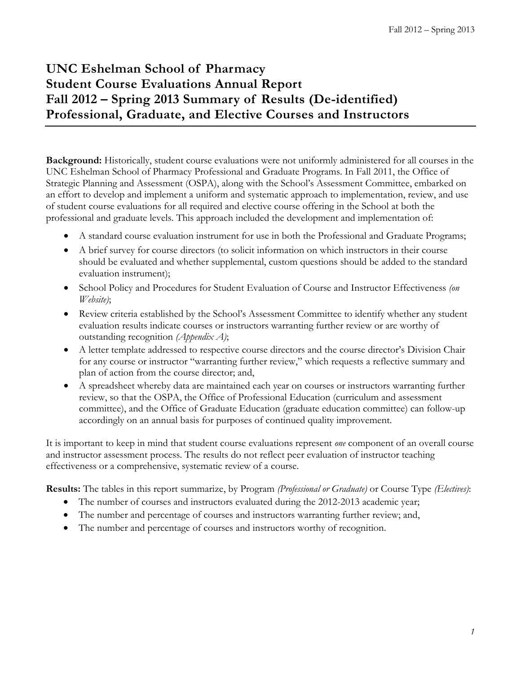# **UNC Eshelman School of Pharmacy Student Course Evaluations Annual Report Fall 2012 – Spring 2013 Summary of Results (De-identified) Professional, Graduate, and Elective Courses and Instructors**

**Background:** Historically, student course evaluations were not uniformly administered for all courses in the UNC Eshelman School of Pharmacy Professional and Graduate Programs. In Fall 2011, the Office of Strategic Planning and Assessment (OSPA), along with the School's Assessment Committee, embarked on an effort to develop and implement a uniform and systematic approach to implementation, review, and use of student course evaluations for all required and elective course offering in the School at both the professional and graduate levels. This approach included the development and implementation of:

- A standard course evaluation instrument for use in both the Professional and Graduate Programs;
- A brief survey for course directors (to solicit information on which instructors in their course should be evaluated and whether supplemental, custom questions should be added to the standard evaluation instrument);
- School Policy and Procedures for Student Evaluation of Course and Instructor Effectiveness *(on Website)*;
- Review criteria established by the School's Assessment Committee to identify whether any student evaluation results indicate courses or instructors warranting further review or are worthy of outstanding recognition *(Appendix A)*;
- A letter template addressed to respective course directors and the course director's Division Chair for any course or instructor "warranting further review," which requests a reflective summary and plan of action from the course director; and,
- A spreadsheet whereby data are maintained each year on courses or instructors warranting further review, so that the OSPA, the Office of Professional Education (curriculum and assessment committee), and the Office of Graduate Education (graduate education committee) can follow-up accordingly on an annual basis for purposes of continued quality improvement.

It is important to keep in mind that student course evaluations represent *one* component of an overall course and instructor assessment process. The results do not reflect peer evaluation of instructor teaching effectiveness or a comprehensive, systematic review of a course.

**Results:** The tables in this report summarize, by Program *(Professional or Graduate)* or Course Type *(Electives)*:

- The number of courses and instructors evaluated during the 2012-2013 academic year;
- The number and percentage of courses and instructors warranting further review; and,
- The number and percentage of courses and instructors worthy of recognition.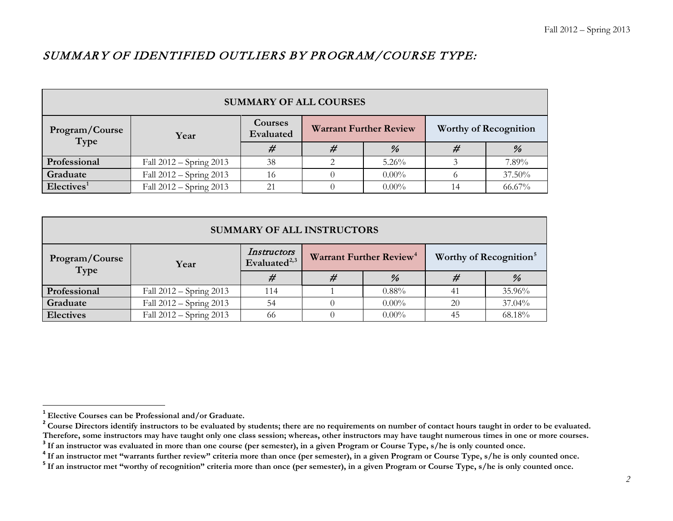## <span id="page-1-4"></span><span id="page-1-3"></span><span id="page-1-2"></span><span id="page-1-1"></span><span id="page-1-0"></span>SUMMARY OF IDENTIFIED OUTLIERS BY PROGRAM/COURSE TYPE:

| <b>SUMMARY OF ALL COURSES</b> |                             |                      |                                                               |          |  |        |  |
|-------------------------------|-----------------------------|----------------------|---------------------------------------------------------------|----------|--|--------|--|
| Program/Course<br>Type        | Year                        | Courses<br>Evaluated | <b>Warrant Further Review</b><br><b>Worthy of Recognition</b> |          |  |        |  |
|                               |                             | #                    |                                                               | %        |  | %      |  |
| Professional                  | Fall $2012 -$ Spring $2013$ | 38                   |                                                               | $5.26\%$ |  | 7.89%  |  |
| Graduate                      | Fall $2012 -$ Spring 2013   | 16                   |                                                               | $0.00\%$ |  | 37.50% |  |
| Electives <sup>1</sup>        | Fall $2012 -$ Spring 2013   | 21                   |                                                               | $0.00\%$ |  | 66.67% |  |

| <b>SUMMARY OF ALL INSTRUCTORS</b> |                                                 |         |                                     |          |                                    |        |  |
|-----------------------------------|-------------------------------------------------|---------|-------------------------------------|----------|------------------------------------|--------|--|
| Program/Course<br>Type            | Instructors<br>Evaluated <sup>2,3</sup><br>Year |         | Warrant Further Review <sup>4</sup> |          | Worthy of Recognition <sup>5</sup> |        |  |
|                                   |                                                 | $^{\#}$ |                                     | %        | #                                  | %      |  |
| Professional                      | Fall $2012 -$ Spring $2013$                     | 114     |                                     | 0.88%    | 41                                 | 35.96% |  |
| Graduate                          | Fall 2012 - Spring 2013                         | 54      |                                     | $0.00\%$ | 20                                 | 37.04% |  |
| <b>Electives</b>                  | Fall $2012 -$ Spring $2013$                     | 66      |                                     | $0.00\%$ | 4 <sup>5</sup>                     | 68.18% |  |

**<sup>1</sup> Elective Courses can be Professional and/or Graduate.**

<sup>&</sup>lt;sup>2</sup> Course Directors identify instructors to be evaluated by students; there are no requirements on number of contact hours taught in order to be evaluated. Therefore, some instructors may have taught ourses and the metrop

<sup>&</sup>lt;sup>3</sup> If an instructor was evaluated in more than one course (per semester), in a given Program or Course Type, s/he is only counted once.<br><sup>4</sup> If an instructor met "warrants further review" criteria more than once (per semes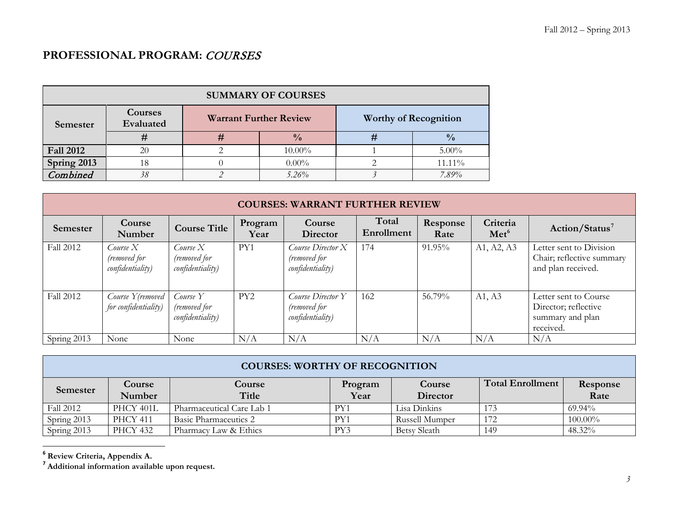# <span id="page-2-1"></span><span id="page-2-0"></span>**PROFESSIONAL PROGRAM:** COURSES

| <b>SUMMARY OF COURSES</b> |                      |                               |               |                              |               |  |  |
|---------------------------|----------------------|-------------------------------|---------------|------------------------------|---------------|--|--|
| Semester                  | Courses<br>Evaluated | <b>Warrant Further Review</b> |               | <b>Worthy of Recognition</b> |               |  |  |
|                           | 77                   | #                             | $\frac{0}{0}$ |                              | $\frac{0}{0}$ |  |  |
| <b>Fall 2012</b>          | 20                   |                               | $10.00\%$     |                              | $5.00\%$      |  |  |
| Spring 2013               | 18                   |                               | $0.00\%$      |                              | 11.11%        |  |  |
| Combined                  | 38                   |                               | $5.26\%$      |                              | $7.89\%$      |  |  |

| <b>COURSES: WARRANT FURTHER REVIEW</b> |                                              |                                              |                 |                                                       |                     |                  |                              |                                                                                |
|----------------------------------------|----------------------------------------------|----------------------------------------------|-----------------|-------------------------------------------------------|---------------------|------------------|------------------------------|--------------------------------------------------------------------------------|
| Semester                               | Course<br>Number                             | <b>Course Title</b>                          | Program<br>Year | Course<br>Director                                    | Total<br>Enrollment | Response<br>Rate | Criteria<br>Met <sup>6</sup> | Action/Status <sup>7</sup>                                                     |
| Fall 2012                              | Course X<br>(removed for<br>confidentiality) | Course X<br>(removed for<br>confidentiality) | PY1             | Course Director X<br>(removed for<br>confidentiality) | 174                 | 91.95%           | A1, A2, A3                   | Letter sent to Division<br>Chair; reflective summary<br>and plan received.     |
| Fall 2012                              | Course Y (removed  <br>for confidentiality)  | Course Y<br>(removed for<br>confidentiality) | PY2             | Course Director Y<br>(removed for<br>confidentiality) | 162                 | 56.79%           | A1, A3                       | Letter sent to Course<br>Director; reflective<br>summary and plan<br>received. |
| Spring 2013                            | None                                         | None                                         | N/A             | N/A                                                   | N/A                 | N/A              | N/A                          | N/A                                                                            |

| <b>COURSES: WORTHY OF RECOGNITION</b> |                         |                           |                 |                     |                         |                  |  |
|---------------------------------------|-------------------------|---------------------------|-----------------|---------------------|-------------------------|------------------|--|
| Semester                              | Course<br><b>Number</b> | Course<br>Title           | Program<br>Year | Course<br>Director  | <b>Total Enrollment</b> | Response<br>Rate |  |
| Fall 2012                             | PHCY 401L               | Pharmaceutical Care Lab 1 | PY1             | Lisa Dinkins        | 173                     | $69.94\%$        |  |
| Spring 2013                           | <b>PHCY 411</b>         | Basic Pharmaceutics 2     | PY1             | Russell Mumper      | 172                     | 100.00%          |  |
| Spring 2013                           | <b>PHCY 432</b>         | Pharmacy Law & Ethics     | PY3             | <b>Betsy Sleath</b> | 149                     | 48.32%           |  |

**<sup>6</sup> Review Criteria, Appendix A.**

**<sup>7</sup> Additional information available upon request.**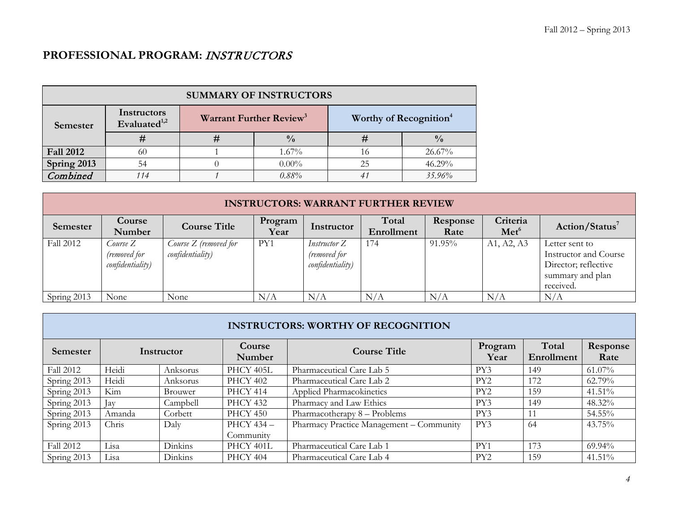# **PROFESSIONAL PROGRAM:** INSTRUCTORS

| <b>SUMMARY OF INSTRUCTORS</b> |                                |                                     |               |    |                                    |  |  |
|-------------------------------|--------------------------------|-------------------------------------|---------------|----|------------------------------------|--|--|
| Semester                      | Instructors<br>Evaluated $1,2$ | Warrant Further Review <sup>3</sup> |               |    | Worthy of Recognition <sup>4</sup> |  |  |
|                               |                                |                                     | $\frac{0}{0}$ | #  | $\frac{0}{0}$                      |  |  |
| <b>Fall 2012</b>              | 60                             |                                     | $1.67\%$      | 16 | 26.67%                             |  |  |
| Spring 2013                   | 54                             |                                     | $0.00\%$      | 25 | 46.29%                             |  |  |
| Combined                      | 114                            |                                     | 0.88%         | 41 | 35.96%                             |  |  |

| <b>INSTRUCTORS: WARRANT FURTHER REVIEW</b> |                                              |                                           |                 |                                                  |                     |                  |                              |                                                                                                  |
|--------------------------------------------|----------------------------------------------|-------------------------------------------|-----------------|--------------------------------------------------|---------------------|------------------|------------------------------|--------------------------------------------------------------------------------------------------|
| Semester                                   | Course<br>Number                             | <b>Course Title</b>                       | Program<br>Year | Instructor                                       | Total<br>Enrollment | Response<br>Rate | Criteria<br>Met <sup>6</sup> | Action/Status <sup>7</sup>                                                                       |
| <b>Fall 2012</b>                           | Course Z<br>(removed for<br>confidentiality) | Course Z (removed for<br>confidentiality) | PY1             | Instructor Z<br>(removed for<br>confidentiality) | 174                 | 91.95%           | A1, A2, A3                   | Letter sent to<br>Instructor and Course<br>Director; reflective<br>summary and plan<br>received. |
| Spring 2013                                | None                                         | None                                      | N/A             | N/A                                              | N/A                 | N/A              | N/A                          | N/A                                                                                              |

| <b>INSTRUCTORS: WORTHY OF RECOGNITION</b> |            |            |                  |                                          |                 |                     |                  |
|-------------------------------------------|------------|------------|------------------|------------------------------------------|-----------------|---------------------|------------------|
| Semester                                  |            | Instructor | Course<br>Number | <b>Course Title</b>                      | Program<br>Year | Total<br>Enrollment | Response<br>Rate |
| Fall 2012                                 | Heidi      | Anksorus   | PHCY 405L        | Pharmaceutical Care Lab 5                | PY3             | 149                 | 61.07%           |
| Spring 2013                               | Heidi      | Anksorus   | <b>PHCY 402</b>  | Pharmaceutical Care Lab 2                | PY <sub>2</sub> | 172                 | 62.79%           |
| Spring 2013                               | Kim        | Brouwer    | <b>PHCY 414</b>  | Applied Pharmacokinetics                 | PY <sub>2</sub> | 159                 | 41.51%           |
| Spring 2013                               | $\vert$ ay | Campbell   | <b>PHCY 432</b>  | Pharmacy and Law Ethics                  | PY3             | 149                 | 48.32%           |
| Spring 2013                               | Amanda     | Corbett    | PHCY 450         | Pharmacotherapy 8 – Problems             | PY3             | 11                  | 54.55%           |
| Spring 2013                               | Chris      | Daly       | PHCY 434 -       | Pharmacy Practice Management - Community | PY3             | 64                  | 43.75%           |
|                                           |            |            | Community        |                                          |                 |                     |                  |
| Fall 2012                                 | Lisa       | Dinkins    | PHCY 401L        | Pharmaceutical Care Lab 1                | PY1             | 173                 | $69.94\%$        |
| Spring 2013                               | Lisa       | Dinkins    | <b>PHCY 404</b>  | Pharmaceutical Care Lab 4                | PY <sub>2</sub> | 159                 | 41.51%           |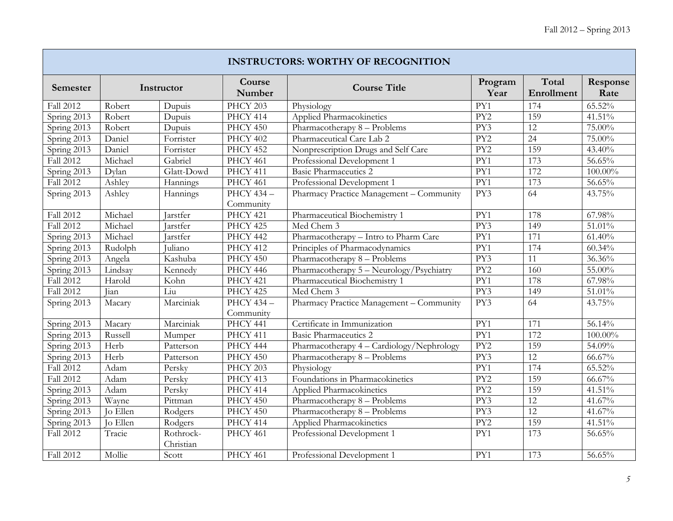|                  | <b>INSTRUCTORS: WORTHY OF RECOGNITION</b> |                        |                        |                                           |                  |                            |                  |
|------------------|-------------------------------------------|------------------------|------------------------|-------------------------------------------|------------------|----------------------------|------------------|
| Semester         |                                           | Instructor             | Course<br>Number       | <b>Course Title</b>                       | Program<br>Year  | Total<br><b>Enrollment</b> | Response<br>Rate |
| Fall 2012        | Robert                                    | Dupuis                 | PHCY 203               | Physiology                                | PY1              | 174                        | 65.52%           |
| Spring 2013      | Robert                                    | Dupuis                 | PHCY 414               | Applied Pharmacokinetics                  | PY <sub>2</sub>  | 159                        | 41.51%           |
| Spring 2013      | Robert                                    | Dupuis                 | PHCY 450               | Pharmacotherapy 8 - Problems              | PY3              | 12                         | 75.00%           |
| Spring 2013      | Daniel                                    | Forrister              | <b>PHCY 402</b>        | Pharmaceutical Care Lab 2                 | PY <sub>2</sub>  | $\overline{24}$            | 75.00%           |
| Spring 2013      | Daniel                                    | Forrister              | <b>PHCY 452</b>        | Nonprescription Drugs and Self Care       | PY <sub>2</sub>  | 159                        | 43.40%           |
| Fall 2012        | Michael                                   | Gabriel                | PHCY 461               | Professional Development 1                | PY1              | 173                        | 56.65%           |
| Spring 2013      | Dylan                                     | Glatt-Dowd             | PHCY 411               | <b>Basic Pharmaceutics 2</b>              | PY1              | 172                        | 100.00%          |
| Fall 2012        | Ashley                                    | Hannings               | PHCY 461               | Professional Development 1                | PY1              | 173                        | 56.65%           |
| Spring 2013      | Ashley                                    | Hannings               | PHCY 434-<br>Community | Pharmacy Practice Management - Community  | PY3              | 64                         | 43.75%           |
| Fall 2012        | Michael                                   | <b>Jarstfer</b>        | PHCY 421               | Pharmaceutical Biochemistry 1             | PY1              | 178                        | 67.98%           |
| Fall 2012        | Michael                                   | arstfer                | <b>PHCY 425</b>        | Med Chem 3                                | PY3              | 149                        | 51.01%           |
| Spring 2013      | Michael                                   | Jarstfer               | PHCY 442               | Pharmacotherapy - Intro to Pharm Care     | PY1              | 171                        | 61.40%           |
| Spring 2013      | Rudolph                                   | Juliano                | PHCY 412               | Principles of Pharmacodynamics            | PY1              | 174                        | $60.34\%$        |
| Spring 2013      | Angela                                    | Kashuba                | PHCY 450               | Pharmacotherapy 8 - Problems              | $\overline{PY3}$ | 11                         | 36.36%           |
| Spring 2013      | Lindsay                                   | Kennedy                | <b>PHCY 446</b>        | Pharmacotherapy 5 - Neurology/Psychiatry  | $\overline{PY2}$ | 160                        | 55.00%           |
| Fall 2012        | Harold                                    | Kohn                   | <b>PHCY 421</b>        | Pharmaceutical Biochemistry 1             | PY1              | 178                        | 67.98%           |
| Fall 2012        | Jian                                      | Liu                    | PHCY 425               | Med Chem 3                                | PY3              | 149                        | 51.01%           |
| Spring 2013      | Macary                                    | Marciniak              | PHCY 434-<br>Community | Pharmacy Practice Management - Community  | PY3              | 64                         | 43.75%           |
| Spring 2013      | Macary                                    | Marciniak              | PHCY 441               | Certificate in Immunization               | PY1              | 171                        | 56.14%           |
| Spring 2013      | Russell                                   | Mumper                 | PHCY 411               | <b>Basic Pharmaceutics 2</b>              | PY1              | 172                        | 100.00%          |
| Spring 2013      | Herb                                      | Patterson              | PHCY 444               | Pharmacotherapy 4 - Cardiology/Nephrology | PY <sub>2</sub>  | 159                        | 54.09%           |
| Spring 2013      | Herb                                      | Patterson              | PHCY 450               | Pharmacotherapy 8 - Problems              | PY3              | 12                         | 66.67%           |
| Fall 2012        | Adam                                      | Persky                 | PHCY 203               | Physiology                                | $\overline{PY1}$ | 174                        | 65.52%           |
| <b>Fall 2012</b> | Adam                                      | Persky                 | PHCY 413               | Foundations in Pharmacokinetics           | $\overline{PY2}$ | 159                        | 66.67%           |
| Spring 2013      | Adam                                      | Persky                 | PHCY 414               | Applied Pharmacokinetics                  | $\overline{PY2}$ | 159                        | 41.51%           |
| Spring 2013      | Wayne                                     | Pittman                | PHCY 450               | Pharmacotherapy 8 - Problems              | PY3              | 12                         | 41.67%           |
| Spring 2013      | <b>Jo Ellen</b>                           | Rodgers                | PHCY 450               | Pharmacotherapy 8 - Problems              | $\overline{PY3}$ | 12                         | 41.67%           |
| Spring 2013      | Jo Ellen                                  | Rodgers                | PHCY 414               | Applied Pharmacokinetics                  | PY <sub>2</sub>  | 159                        | 41.51%           |
| Fall 2012        | Tracie                                    | Rothrock-<br>Christian | <b>PHCY 461</b>        | Professional Development 1                | PY1              | 173                        | 56.65%           |
| Fall 2012        | Mollie                                    | Scott                  | PHCY 461               | Professional Development 1                | PY1              | 173                        | 56.65%           |

**The State**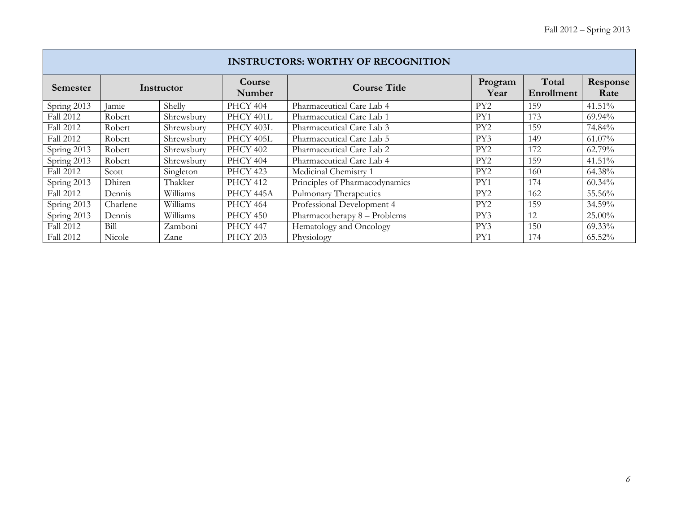| <b>INSTRUCTORS: WORTHY OF RECOGNITION</b> |              |            |                  |                                |                 |                     |                  |
|-------------------------------------------|--------------|------------|------------------|--------------------------------|-----------------|---------------------|------------------|
| <b>Semester</b>                           |              | Instructor | Course<br>Number | <b>Course Title</b>            | Program<br>Year | Total<br>Enrollment | Response<br>Rate |
| Spring 2013                               | <i>lamie</i> | Shelly     | PHCY 404         | Pharmaceutical Care Lab 4      | PY <sub>2</sub> | 159                 | 41.51%           |
| Fall 2012                                 | Robert       | Shrewsbury | PHCY 401L        | Pharmaceutical Care Lab 1      | PY1             | 173                 | 69.94%           |
| Fall 2012                                 | Robert       | Shrewsbury | PHCY 403L        | Pharmaceutical Care Lab 3      | PY <sub>2</sub> | 159                 | 74.84%           |
| <b>Fall 2012</b>                          | Robert       | Shrewsbury | PHCY 405L        | Pharmaceutical Care Lab 5      | PY3             | 149                 | 61.07%           |
| Spring 2013                               | Robert       | Shrewsbury | <b>PHCY 402</b>  | Pharmaceutical Care Lab 2      | PY <sub>2</sub> | 172                 | 62.79%           |
| Spring 2013                               | Robert       | Shrewsbury | <b>PHCY 404</b>  | Pharmaceutical Care Lab 4      | PY <sub>2</sub> | 159                 | 41.51%           |
| Fall 2012                                 | Scott        | Singleton  | <b>PHCY 423</b>  | Medicinal Chemistry 1          | PY <sub>2</sub> | 160                 | 64.38%           |
| Spring 2013                               | Dhiren       | Thakker    | <b>PHCY 412</b>  | Principles of Pharmacodynamics | PY1             | 174                 | $60.34\%$        |
| Fall 2012                                 | Dennis       | Williams   | PHCY 445A        | Pulmonary Therapeutics         | PY <sub>2</sub> | 162                 | 55.56%           |
| Spring 2013                               | Charlene     | Williams   | <b>PHCY 464</b>  | Professional Development 4     | PY <sub>2</sub> | 159                 | 34.59%           |
| Spring 2013                               | Dennis       | Williams   | PHCY 450         | Pharmacotherapy 8 - Problems   | PY3             | 12                  | 25.00%           |
| <b>Fall 2012</b>                          | Bill         | Zamboni    | PHCY 447         | Hematology and Oncology        | PY3             | 150                 | $69.33\%$        |
| <b>Fall 2012</b>                          | Nicole       | Zane       | PHCY 203         | Physiology                     | PY1             | 174                 | 65.52%           |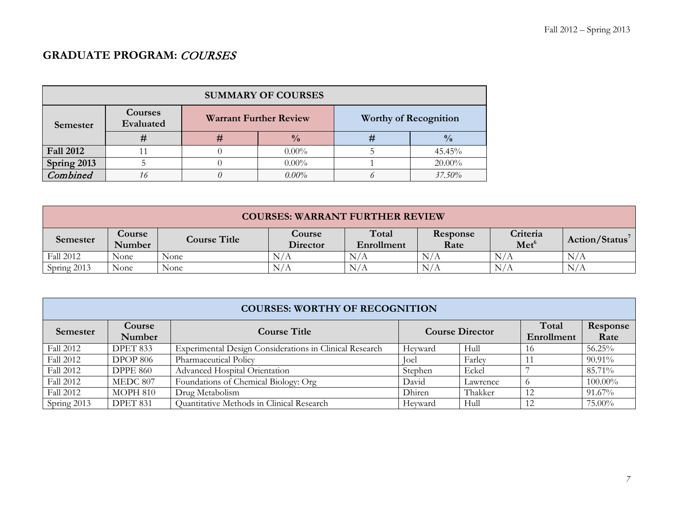# **GRADUATE PROGRAM:** COURSES

| <b>SUMMARY OF COURSES</b> |                      |                               |               |  |                              |  |  |
|---------------------------|----------------------|-------------------------------|---------------|--|------------------------------|--|--|
| Semester                  | Courses<br>Evaluated | <b>Warrant Further Review</b> |               |  | <b>Worthy of Recognition</b> |  |  |
|                           |                      | #                             | $\frac{0}{0}$ |  | $\frac{0}{0}$                |  |  |
| <b>Fall 2012</b>          |                      |                               | $0.00\%$      |  | 45.45%                       |  |  |
| Spring 2013               |                      |                               | $0.00\%$      |  | $20.00\%$                    |  |  |
| Combined                  | 16                   |                               | $0.00\%$      |  | 37.50%                       |  |  |

|  | <b>COURSES: WARRANT FURTHER REVIEW</b> |
|--|----------------------------------------|
|--|----------------------------------------|

| Semester         | Course<br>Number | Course Title | <b>Course</b><br><b>Director</b> | Total<br>Enrollment | Response<br>Rate | Criteria<br>Met <sup>6</sup> | Action/Status |
|------------------|------------------|--------------|----------------------------------|---------------------|------------------|------------------------------|---------------|
| <b>Fall 2012</b> | None             | None         | N/A                              | N/A                 | N/A              | $N/\Lambda$                  | N/A           |
| Spring 2013      | None             | None         | N/A                              | N/A                 | N/A              | N/A                          | N/A           |

|             | <b>COURSES: WORTHY OF RECOGNITION</b> |                                                         |                        |          |                     |                  |  |  |  |  |  |
|-------------|---------------------------------------|---------------------------------------------------------|------------------------|----------|---------------------|------------------|--|--|--|--|--|
| Semester    | Course<br>Number                      | <b>Course Title</b>                                     | <b>Course Director</b> |          | Total<br>Enrollment | Response<br>Rate |  |  |  |  |  |
| Fall 2012   | <b>DPET 833</b>                       | Experimental Design Considerations in Clinical Research | Heyward                | Hull     | 16                  | 56.25%           |  |  |  |  |  |
| Fall 2012   | <b>DPOP 806</b>                       | Pharmaceutical Policy                                   | Joel                   | Farley   |                     | 90.91%           |  |  |  |  |  |
| Fall 2012   | <b>DPPE 860</b>                       | Advanced Hospital Orientation                           | Stephen                | Eckel    |                     | 85.71%           |  |  |  |  |  |
| Fall 2012   | MEDC 807                              | Foundations of Chemical Biology: Org                    | David                  | Lawrence |                     | 100.00%          |  |  |  |  |  |
| Fall 2012   | MOPH 810                              | Drug Metabolism                                         | Dhiren                 | Thakker  | 12                  | 91.67%           |  |  |  |  |  |
| Spring 2013 | DPET 831                              | Quantitative Methods in Clinical Research               | Heyward                | Hull     | 12                  | 75.00%           |  |  |  |  |  |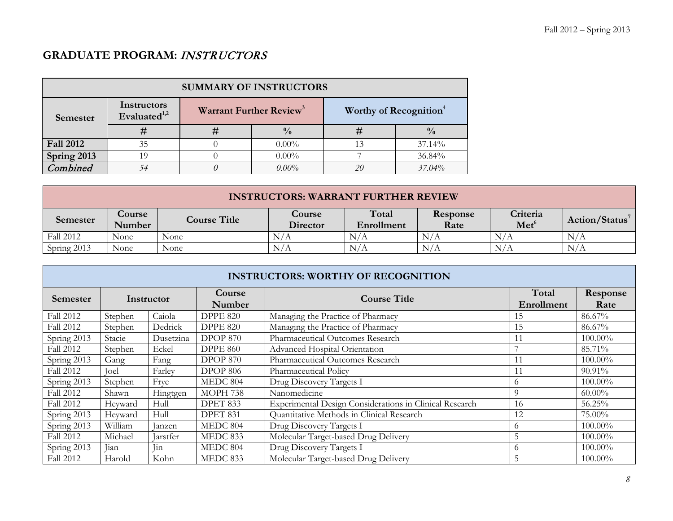## **GRADUATE PROGRAM:** INSTRUCTORS

| <b>SUMMARY OF INSTRUCTORS</b> |                                         |                                     |               |                                    |               |  |  |  |  |
|-------------------------------|-----------------------------------------|-------------------------------------|---------------|------------------------------------|---------------|--|--|--|--|
| Semester                      | Instructors<br>Evaluated <sup>1,2</sup> | Warrant Further Review <sup>3</sup> |               | Worthy of Recognition <sup>4</sup> |               |  |  |  |  |
|                               | #                                       | #                                   | $\frac{0}{0}$ | #                                  | $\frac{0}{0}$ |  |  |  |  |
| <b>Fall 2012</b>              | 35                                      |                                     | $0.00\%$      | 13                                 | 37.14%        |  |  |  |  |
| Spring 2013                   | 19                                      |                                     | $0.00\%$      |                                    | 36.84%        |  |  |  |  |
| Combined                      | 54                                      | 0                                   | $0.00\%$      | <i>20</i>                          | $37.04\%$     |  |  |  |  |

| <b>INSTRUCTORS: WARRANT FURTHER REVIEW</b>                                                                                                                  |      |      |     |     |     |           |                            |  |
|-------------------------------------------------------------------------------------------------------------------------------------------------------------|------|------|-----|-----|-----|-----------|----------------------------|--|
| Total<br>Criteria<br>Response<br><b>Course</b><br>Course<br><b>Course Title</b><br>Semester<br>Met <sup>6</sup><br>Number<br>Director<br>Enrollment<br>Rate |      |      |     |     |     |           | Action/Status <sup>7</sup> |  |
| Fall 2012                                                                                                                                                   | None | None | N/A | N/A | N/A | $\rm N/A$ | N/A                        |  |
| Spring 2013                                                                                                                                                 | None | None | N/r | N/A | N/A | N/A       | N/A                        |  |

| <b>INSTRUCTORS: WORTHY OF RECOGNITION</b> |                                   |                           |                  |                                                         |                     |                  |  |  |  |
|-------------------------------------------|-----------------------------------|---------------------------|------------------|---------------------------------------------------------|---------------------|------------------|--|--|--|
| Semester                                  | Instructor                        |                           | Course<br>Number | <b>Course Title</b>                                     | Total<br>Enrollment | Response<br>Rate |  |  |  |
| <b>Fall 2012</b>                          | Stephen                           | Caiola<br><b>DPPE 820</b> |                  | Managing the Practice of Pharmacy                       | 15                  | 86.67%           |  |  |  |
| Fall 2012                                 | Stephen                           | Dedrick                   | <b>DPPE 820</b>  | Managing the Practice of Pharmacy                       | 15                  | 86.67%           |  |  |  |
| Spring 2013                               | Stacie                            | Dusetzina                 | <b>DPOP 870</b>  | Pharmaceutical Outcomes Research                        |                     | 100.00%          |  |  |  |
| Fall 2012                                 | Stephen                           | Eckel                     | <b>DPPE 860</b>  | Advanced Hospital Orientation                           |                     | 85.71%           |  |  |  |
| Spring 2013                               | Gang                              | Fang                      | <b>DPOP 870</b>  | Pharmaceutical Outcomes Research                        |                     | 100.00%          |  |  |  |
| Fall 2012                                 | <b>DPOP 806</b><br>Farley<br>Joel |                           |                  | Pharmaceutical Policy                                   | 11                  | 90.91%           |  |  |  |
| Spring 2013                               | Stephen                           | Frye                      | MEDC 804         | Drug Discovery Targets I                                | $\circ$             | 100.00%          |  |  |  |
| <b>Fall 2012</b>                          | Shawn                             | Hingtgen                  | MOPH 738         | Nanomedicine                                            | $\Omega$            | $60.00\%$        |  |  |  |
| <b>Fall 2012</b>                          | Heyward                           | Hull                      | DPET 833         | Experimental Design Considerations in Clinical Research | 16                  | 56.25%           |  |  |  |
| Spring 2013                               | Heyward                           | Hull                      | DPET 831         | Quantitative Methods in Clinical Research               | 12                  | 75.00%           |  |  |  |
| Spring 2013                               | William                           | lanzen                    | MEDC 804         | Drug Discovery Targets I                                | $\circ$             | $100.00\%$       |  |  |  |
| Fall 2012                                 | Michael                           | Jarstfer                  | MEDC 833         | Molecular Target-based Drug Delivery                    |                     | 100.00%          |  |  |  |
| Spring 2013                               | Jian                              | Jin                       | MEDC 804         | Drug Discovery Targets I                                | $\Omega$            | 100.00%          |  |  |  |
| Fall 2012                                 | Harold                            | Kohn                      | MEDC 833         | Molecular Target-based Drug Delivery                    | h                   | 100.00%          |  |  |  |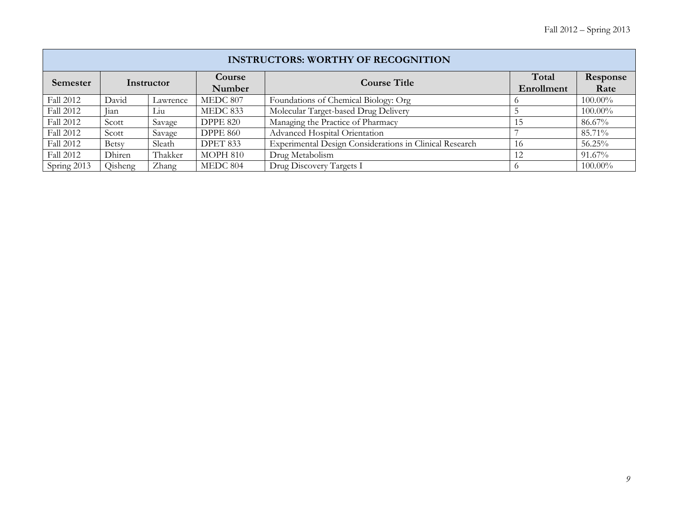| <b>INSTRUCTORS: WORTHY OF RECOGNITION</b> |              |          |                  |                                                         |                     |                  |  |  |  |
|-------------------------------------------|--------------|----------|------------------|---------------------------------------------------------|---------------------|------------------|--|--|--|
| Semester<br>Instructor                    |              |          | Course<br>Number | <b>Course Title</b>                                     | Total<br>Enrollment | Response<br>Rate |  |  |  |
| <b>Fall 2012</b>                          | David        | Lawrence | MEDC 807         | Foundations of Chemical Biology: Org                    |                     | 100.00%          |  |  |  |
| <b>Fall 2012</b>                          | Jian         | Liu      | MEDC 833         | Molecular Target-based Drug Delivery                    |                     | 100.00%          |  |  |  |
| Fall 2012                                 | Scott        | Savage   | <b>DPPE 820</b>  | Managing the Practice of Pharmacy                       | 15                  | 86.67%           |  |  |  |
| Fall 2012                                 | Scott        | Savage   | <b>DPPE 860</b>  | Advanced Hospital Orientation                           |                     | 85.71%           |  |  |  |
| Fall 2012                                 | <b>Betsy</b> | Sleath   | DPET 833         | Experimental Design Considerations in Clinical Research | 16                  | 56.25%           |  |  |  |
| Fall 2012                                 | Dhiren       | Thakker  | MOPH 810         | Drug Metabolism                                         | 12                  | 91.67%           |  |  |  |
| Spring 2013                               | Qisheng      | Zhang    | MEDC 804         | Drug Discovery Targets I                                |                     | 100.00%          |  |  |  |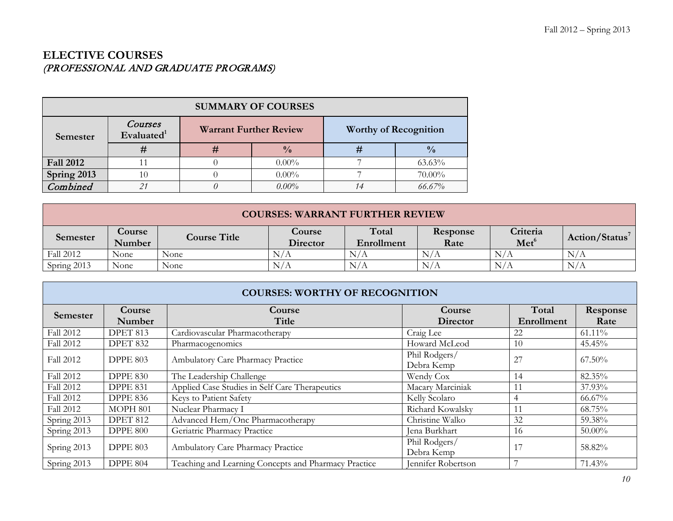## **ELECTIVE COURSES**  (PROFESSIONAL AND GRADUATE PROGRAMS)

| <b>SUMMARY OF COURSES</b> |                          |   |                               |    |                              |  |  |  |  |
|---------------------------|--------------------------|---|-------------------------------|----|------------------------------|--|--|--|--|
| Semester                  | Courses<br>Evaluated $1$ |   | <b>Warrant Further Review</b> |    | <b>Worthy of Recognition</b> |  |  |  |  |
|                           | #                        | # | $\frac{0}{0}$                 | 77 | $\frac{0}{0}$                |  |  |  |  |
| <b>Fall 2012</b>          |                          |   | $0.00\%$                      |    | $63.63\%$                    |  |  |  |  |
| Spring 2013               | 10                       |   | $0.00\%$                      |    | 70.00%                       |  |  |  |  |
| Combined                  |                          |   | 66.67%                        |    |                              |  |  |  |  |

| <b>COURSES: WARRANT FURTHER REVIEW</b>                                                                                                                             |      |      |     |     |     |                            |     |  |
|--------------------------------------------------------------------------------------------------------------------------------------------------------------------|------|------|-----|-----|-----|----------------------------|-----|--|
| Total<br>Criteria<br><b>Course</b><br>Course<br>Response<br><b>Course Title</b><br>Semester<br>Met <sup>6</sup><br>Number<br><b>Director</b><br>Enrollment<br>Rate |      |      |     |     |     | Action/Status <sup>7</sup> |     |  |
| Fall 2012                                                                                                                                                          | None | None |     | N/A | N/A | N/A                        | N/A |  |
| Spring 2013                                                                                                                                                        | None | None | N/A | N/A | N/A | N/A                        | N/A |  |

|                  | <b>COURSES: WORTHY OF RECOGNITION</b> |                                                      |                             |                     |                  |  |  |  |  |  |
|------------------|---------------------------------------|------------------------------------------------------|-----------------------------|---------------------|------------------|--|--|--|--|--|
| Semester         | Course<br>Number                      | Course<br>Title                                      | Course<br><b>Director</b>   | Total<br>Enrollment | Response<br>Rate |  |  |  |  |  |
| <b>Fall 2012</b> | DPET 813                              | Cardiovascular Pharmacotherapy                       | Craig Lee                   | 22                  | $61.11\%$        |  |  |  |  |  |
| <b>Fall 2012</b> | <b>DPET 832</b>                       | Pharmacogenomics                                     | Howard McLeod               | 10                  | 45.45%           |  |  |  |  |  |
| <b>Fall 2012</b> | <b>DPPE 803</b>                       | Ambulatory Care Pharmacy Practice                    | Phil Rodgers/<br>Debra Kemp | 27                  | 67.50%           |  |  |  |  |  |
| <b>Fall 2012</b> | <b>DPPE 830</b>                       | The Leadership Challenge                             | Wendy Cox                   | 14                  | 82.35%           |  |  |  |  |  |
| Fall 2012        | <b>DPPE 831</b>                       | Applied Case Studies in Self Care Therapeutics       | Macary Marciniak            | 11                  | 37.93%           |  |  |  |  |  |
| <b>Fall 2012</b> | <b>DPPE 836</b>                       | Keys to Patient Safety                               | Kelly Scolaro               | 4                   | 66.67%           |  |  |  |  |  |
| <b>Fall 2012</b> | MOPH 801                              | Nuclear Pharmacy I                                   | Richard Kowalsky            | 11                  | 68.75%           |  |  |  |  |  |
| Spring 2013      | <b>DPET 812</b>                       | Advanced Hem/Onc Pharmacotherapy                     | Christine Walko             | 32                  | 59.38%           |  |  |  |  |  |
| Spring 2013      | DPPE 800                              | Geriatric Pharmacy Practice                          | Jena Burkhart               | 16                  | $50.00\%$        |  |  |  |  |  |
| Spring 2013      | <b>DPPE 803</b>                       | Ambulatory Care Pharmacy Practice                    | Phil Rodgers/<br>Debra Kemp | 17                  | 58.82%           |  |  |  |  |  |
| Spring 2013      | <b>DPPE 804</b>                       | Teaching and Learning Concepts and Pharmacy Practice | Jennifer Robertson          | $\overline{ }$      | 71.43%           |  |  |  |  |  |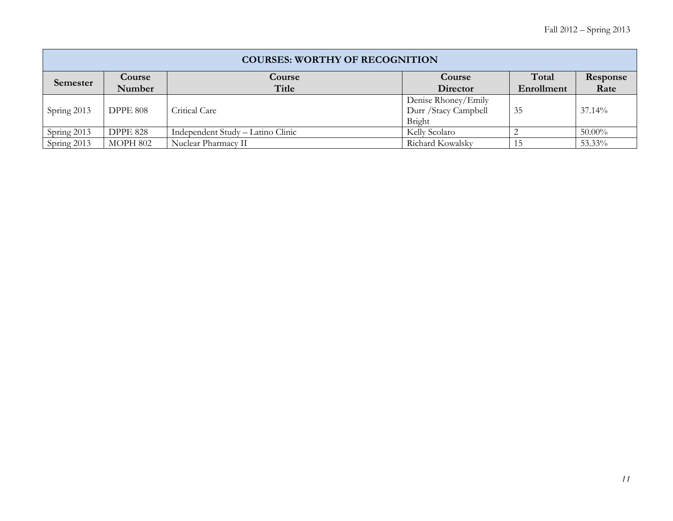| <b>COURSES: WORTHY OF RECOGNITION</b> |                 |                                   |                       |            |           |  |  |  |  |
|---------------------------------------|-----------------|-----------------------------------|-----------------------|------------|-----------|--|--|--|--|
| Semester                              | Course          | Course                            | Course                | Total      | Response  |  |  |  |  |
|                                       | Number          | Title                             | Director              | Enrollment | Rate      |  |  |  |  |
|                                       |                 |                                   | Denise Rhoney/Emily   |            |           |  |  |  |  |
| Spring 2013                           | <b>DPPE 808</b> | Critical Care                     | Durr / Stacy Campbell | 35         | $37.14\%$ |  |  |  |  |
|                                       |                 |                                   | Bright                |            |           |  |  |  |  |
| Spring 2013                           | <b>DPPE 828</b> | Independent Study - Latino Clinic | Kelly Scolaro         |            | 50.00%    |  |  |  |  |
| Spring 2013                           | MOPH 802        | Nuclear Pharmacy II               | Richard Kowalsky      |            | 53.33%    |  |  |  |  |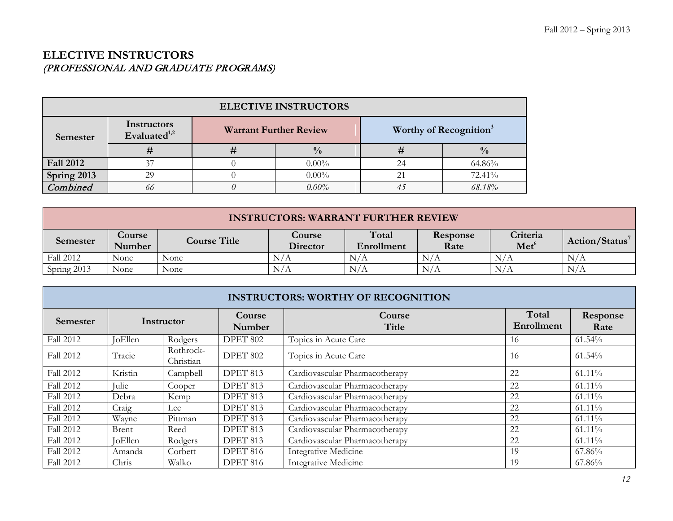## **ELECTIVE INSTRUCTORS** (PROFESSIONAL AND GRADUATE PROGRAMS)

| <b>ELECTIVE INSTRUCTORS</b> |                                         |              |                               |                                    |               |  |  |  |  |
|-----------------------------|-----------------------------------------|--------------|-------------------------------|------------------------------------|---------------|--|--|--|--|
| Semester                    | Instructors<br>Evaluated <sup>1,2</sup> |              | <b>Warrant Further Review</b> | Worthy of Recognition <sup>3</sup> |               |  |  |  |  |
|                             | #                                       | $^{\rm \pi}$ | $\frac{0}{0}$                 |                                    | $\frac{0}{0}$ |  |  |  |  |
| <b>Fall 2012</b>            | 37                                      |              | $0.00\%$                      |                                    | 64.86%        |  |  |  |  |
| Spring 2013                 | 29                                      |              | $0.00\%$                      | $\mathcal{D}$ 1                    | 72.41%        |  |  |  |  |
| Combined                    | 68.18%<br>0.00%<br>66                   |              |                               |                                    |               |  |  |  |  |

### **INSTRUCTORS: WARRANT FURTHER REVIEW**

| Semester         | Course<br><b>Number</b> | Course Title | <b>Course</b><br><b>Director</b> | Total<br>Enrollment | Response<br>Rate | Criteria<br>Met <sup>6</sup> | Action/Status |
|------------------|-------------------------|--------------|----------------------------------|---------------------|------------------|------------------------------|---------------|
| <b>Fall 2012</b> | None                    | None         | N/A                              | N/A                 | N/A              | N/A                          | N/A           |
| Spring 2013      | None                    | None         | N/A                              | N/A                 | N/A              | N/A                          | N/A           |

| <b>INSTRUCTORS: WORTHY OF RECOGNITION</b> |                |                        |                  |                                |                     |                  |  |  |
|-------------------------------------------|----------------|------------------------|------------------|--------------------------------|---------------------|------------------|--|--|
| Semester                                  | Instructor     |                        | Course<br>Number | Course<br>Title                | Total<br>Enrollment | Response<br>Rate |  |  |
| Fall 2012                                 | <b>JoEllen</b> | Rodgers                | <b>DPET 802</b>  | Topics in Acute Care           | 16                  | 61.54%           |  |  |
| Fall 2012                                 | Tracie         | Rothrock-<br>Christian | DPET 802         | Topics in Acute Care           | 16                  | 61.54%           |  |  |
| Fall 2012                                 | Kristin        | Campbell               | DPET 813         | Cardiovascular Pharmacotherapy | 22                  | $61.11\%$        |  |  |
| Fall 2012                                 | Julie          | Cooper                 | DPET 813         | Cardiovascular Pharmacotherapy | 22                  | $61.11\%$        |  |  |
| Fall 2012                                 | Debra          | Kemp                   | <b>DPET 813</b>  | Cardiovascular Pharmacotherapy | 22                  | $61.11\%$        |  |  |
| Fall 2012                                 | Craig          | Lee                    | <b>DPET 813</b>  | Cardiovascular Pharmacotherapy | 22                  | $61.11\%$        |  |  |
| Fall 2012                                 | Wayne          | Pittman                | <b>DPET 813</b>  | Cardiovascular Pharmacotherapy | 22                  | $61.11\%$        |  |  |
| Fall 2012                                 | Brent          | Reed                   | <b>DPET 813</b>  | Cardiovascular Pharmacotherapy | 22                  | $61.11\%$        |  |  |
| Fall 2012                                 | JoEllen        | Rodgers                | DPET 813         | Cardiovascular Pharmacotherapy | 22                  | $61.11\%$        |  |  |
| Fall 2012                                 | Amanda         | Corbett                | <b>DPET 816</b>  | Integrative Medicine           | 19                  | 67.86%           |  |  |
| Fall 2012                                 | Chris          | Walko                  | <b>DPET 816</b>  | <b>Integrative Medicine</b>    | 19                  | 67.86%           |  |  |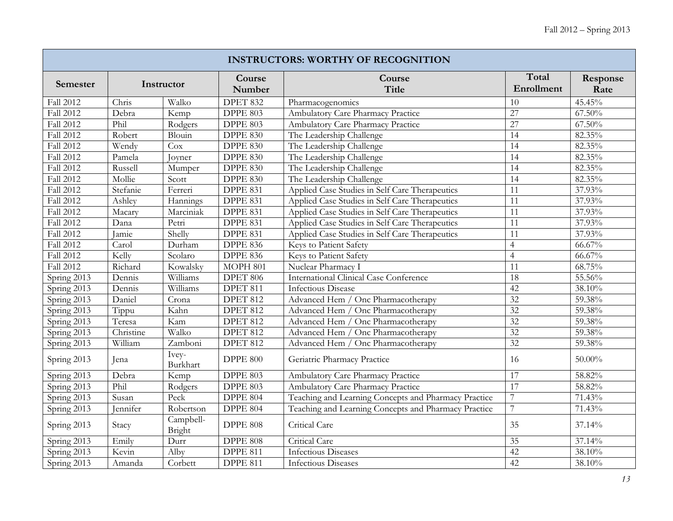| <b>INSTRUCTORS: WORTHY OF RECOGNITION</b> |            |                     |                  |                                                      |                     |                  |  |
|-------------------------------------------|------------|---------------------|------------------|------------------------------------------------------|---------------------|------------------|--|
| Semester                                  | Instructor |                     | Course<br>Number | Course<br>Title                                      | Total<br>Enrollment | Response<br>Rate |  |
| <b>Fall 2012</b>                          | Chris      | Walko               | <b>DPET 832</b>  | Pharmacogenomics                                     | 10                  | 45.45%           |  |
| <b>Fall 2012</b>                          | Debra      | Kemp                | <b>DPPE 803</b>  | Ambulatory Care Pharmacy Practice                    | $\overline{27}$     | 67.50%           |  |
| <b>Fall 2012</b>                          | Phil       | Rodgers             | <b>DPPE 803</b>  | Ambulatory Care Pharmacy Practice                    | $\overline{27}$     | 67.50%           |  |
| <b>Fall 2012</b>                          | Robert     | Blouin              | <b>DPPE 830</b>  | The Leadership Challenge                             | 14                  | 82.35%           |  |
| Fall 2012                                 | Wendy      | Cox                 | <b>DPPE 830</b>  | The Leadership Challenge                             | 14                  | 82.35%           |  |
| Fall 2012                                 | Pamela     | Joyner              | <b>DPPE 830</b>  | The Leadership Challenge                             | 14                  | 82.35%           |  |
| <b>Fall 2012</b>                          | Russell    | Mumper              | <b>DPPE 830</b>  | The Leadership Challenge                             | 14                  | 82.35%           |  |
| Fall 2012                                 | Mollie     | Scott               | <b>DPPE 830</b>  | The Leadership Challenge                             | 14                  | 82.35%           |  |
| Fall 2012                                 | Stefanie   | Ferreri             | <b>DPPE 831</b>  | Applied Case Studies in Self Care Therapeutics       | 11                  | 37.93%           |  |
| Fall 2012                                 | Ashley     | Hannings            | <b>DPPE 831</b>  | Applied Case Studies in Self Care Therapeutics       | 11                  | 37.93%           |  |
| Fall 2012                                 | Macary     | Marciniak           | <b>DPPE 831</b>  | Applied Case Studies in Self Care Therapeutics       | 11                  | 37.93%           |  |
| Fall 2012                                 | Dana       | Petri               | <b>DPPE 831</b>  | Applied Case Studies in Self Care Therapeutics       | 11                  | 37.93%           |  |
| <b>Fall 2012</b>                          | Jamie      | Shelly              | <b>DPPE 831</b>  | Applied Case Studies in Self Care Therapeutics       | 11                  | 37.93%           |  |
| Fall 2012                                 | Carol      | Durham              | <b>DPPE 836</b>  | Keys to Patient Safety                               | $\overline{4}$      | 66.67%           |  |
| Fall 2012                                 | Kelly      | Scolaro             | <b>DPPE 836</b>  | Keys to Patient Safety                               | $\overline{4}$      | $66.67\%$        |  |
| <b>Fall 2012</b>                          | Richard    | Kowalsky            | MOPH 801         | Nuclear Pharmacy I                                   | 11                  | 68.75%           |  |
| Spring 2013                               | Dennis     | Williams            | DPET 806         | <b>International Clinical Case Conference</b>        | 18                  | 55.56%           |  |
| Spring 2013                               | Dennis     | Williams            | DPET 811         | <b>Infectious Disease</b>                            | 42                  | 38.10%           |  |
| Spring 2013                               | Daniel     | Crona               | <b>DPET 812</b>  | Advanced Hem / Onc Pharmacotherapy                   | 32                  | 59.38%           |  |
| Spring 2013                               | Tippu      | Kahn                | <b>DPET 812</b>  | Advanced Hem / Onc Pharmacotherapy                   | $\overline{32}$     | 59.38%           |  |
| Spring 2013                               | Teresa     | Kam                 | <b>DPET 812</b>  | Advanced Hem / Onc Pharmacotherapy                   | 32                  | 59.38%           |  |
| Spring 2013                               | Christine  | Walko               | <b>DPET 812</b>  | Onc Pharmacotherapy<br>Advanced Hem /                | 32                  | 59.38%           |  |
| Spring 2013                               | William    | Zamboni             | <b>DPET 812</b>  | Advanced Hem / Onc Pharmacotherapy                   | 32                  | 59.38%           |  |
| Spring 2013                               | Jena       | Ivey-<br>Burkhart   | DPPE 800         | Geriatric Pharmacy Practice                          | 16                  | $50.00\%$        |  |
| Spring 2013                               | Debra      | Kemp                | <b>DPPE 803</b>  | Ambulatory Care Pharmacy Practice                    | 17                  | 58.82%           |  |
| Spring 2013                               | Phil       | Rodgers             | <b>DPPE 803</b>  | Ambulatory Care Pharmacy Practice                    | $\overline{17}$     | 58.82%           |  |
| Spring 2013                               | Susan      | Peck                | <b>DPPE 804</b>  | Teaching and Learning Concepts and Pharmacy Practice | $\overline{7}$      | 71.43%           |  |
| Spring 2013                               | Jennifer   | Robertson           | <b>DPPE 804</b>  | Teaching and Learning Concepts and Pharmacy Practice | 7                   | 71.43%           |  |
| Spring 2013                               | Stacy      | Campbell-<br>Bright | <b>DPPE 808</b>  | Critical Care                                        | 35                  | 37.14%           |  |
| Spring 2013                               | Emily      | Durr                | <b>DPPE 808</b>  | Critical Care                                        | 35                  | 37.14%           |  |
| Spring 2013                               | Kevin      | Alby                | <b>DPPE 811</b>  | <b>Infectious Diseases</b>                           | 42                  | 38.10%           |  |
| Spring 2013                               | Amanda     | Corbett             | <b>DPPE 811</b>  | Infectious Diseases                                  | 42                  | 38.10%           |  |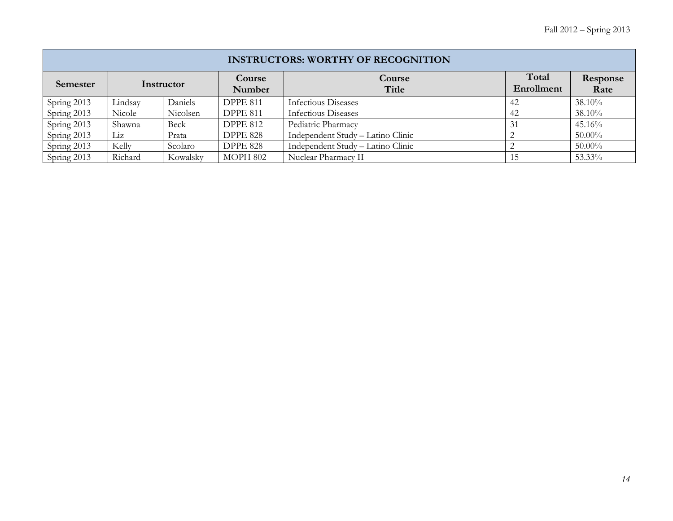| <b>INSTRUCTORS: WORTHY OF RECOGNITION</b> |            |          |                  |                                   |                     |                  |  |  |
|-------------------------------------------|------------|----------|------------------|-----------------------------------|---------------------|------------------|--|--|
| Semester                                  | Instructor |          | Course<br>Number | Course<br>Title                   | Total<br>Enrollment | Response<br>Rate |  |  |
| Spring 2013                               | Lindsay    | Daniels  | <b>DPPE 811</b>  | <b>Infectious Diseases</b>        | 42                  | $38.10\%$        |  |  |
| Spring 2013                               | Nicole     | Nicolsen | <b>DPPE 811</b>  | Infectious Diseases               | 42                  | 38.10%           |  |  |
| Spring 2013                               | Shawna     | Beck     | <b>DPPE 812</b>  | Pediatric Pharmacy                | 31                  | 45.16%           |  |  |
| Spring 2013                               | Liz        | Prata    | <b>DPPE 828</b>  | Independent Study - Latino Clinic |                     | $50.00\%$        |  |  |
| Spring 2013                               | Kelly      | Scolaro  | <b>DPPE 828</b>  | Independent Study - Latino Clinic |                     | $50.00\%$        |  |  |
| Spring 2013                               | Richard    | Kowalsky | <b>MOPH 802</b>  | Nuclear Pharmacy II               |                     | 53.33%           |  |  |